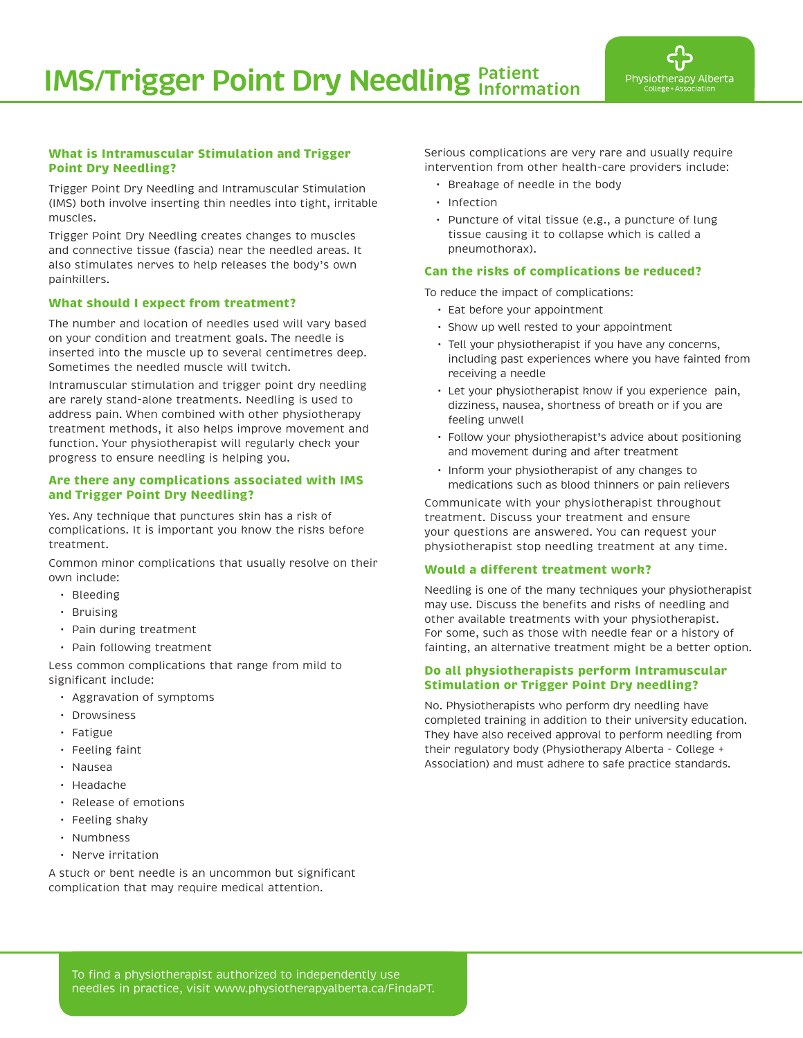

### **What is Intramuscular Stimulation and Trigger Point Dry Needling?**

Trigger Point Dry Needling and Intramuscular Stimulation (IMS) both involve inserting thin needles into tight, irritable muscles.

Trigger Point Dry Needling creates changes to muscles and connective tissue (fascia) near the needled areas. It also stimulates nerves to help releases the body's own painkillers.

## **What should I expect from treatment?**

The number and location of needles used will vary based on your condition and treatment goals. The needle is inserted into the muscle up to several centimetres deep. Sometimes the needled muscle will twitch.

Intramuscular stimulation and trigger point dry needling are rarely stand-alone treatments. Needling is used to address pain. When combined with other physiotherapy treatment methods, it also helps improve movement and function. Your physiotherapist will regularly check your progress to ensure needling is helping you.

#### **Are there any complications associated with IMS and Trigger Point Dry Needling?**

Yes. Any technique that punctures skin has a risk of complications. It is important you know the risks before treatment.

Common minor complications that usually resolve on their own include:

- Bleeding
- Bruising
- Pain during treatment
- Pain following treatment

Less common complications that range from mild to significant include:

- Aggravation of symptoms
- Drowsiness
- Fatigue
- Feeling faint
- Nausea
- Headache
- Release of emotions
- Feeling shaky
- Numbness
- Nerve irritation

A stuck or bent needle is an uncommon but significant complication that may require medical attention.

Serious complications are very rare and usually require intervention from other health-care providers include:

- Breakage of needle in the body
- Infection
- Puncture of vital tissue (e.g., a puncture of lung tissue causing it to collapse which is called a pneumothorax).

### **Can the risks of complications be reduced?**

To reduce the impact of complications:

- Eat before your appointment
- Show up well rested to your appointment
- Tell your physiotherapist if you have any concerns, including past experiences where you have fainted from receiving a needle
- Let your physiotherapist know if you experience pain, dizziness, nausea, shortness of breath or if you are feeling unwell
- Follow your physiotherapist's advice about positioning and movement during and after treatment
- Inform your physiotherapist of any changes to medications such as blood thinners or pain relievers

Communicate with your physiotherapist throughout treatment. Discuss your treatment and ensure your questions are answered. You can request your physiotherapist stop needling treatment at any time.

### **Would a different treatment work?**

Needling is one of the many techniques your physiotherapist may use. Discuss the benefits and risks of needling and other available treatments with your physiotherapist. For some, such as those with needle fear or a history of fainting, an alternative treatment might be a better option.

#### **Do all physiotherapists perform Intramuscular Stimulation or Trigger Point Dry needling?**

No. Physiotherapists who perform dry needling have completed training in addition to their university education. They have also received approval to perform needling from their regulatory body (Physiotherapy Alberta - College + Association) and must adhere to safe practice standards.